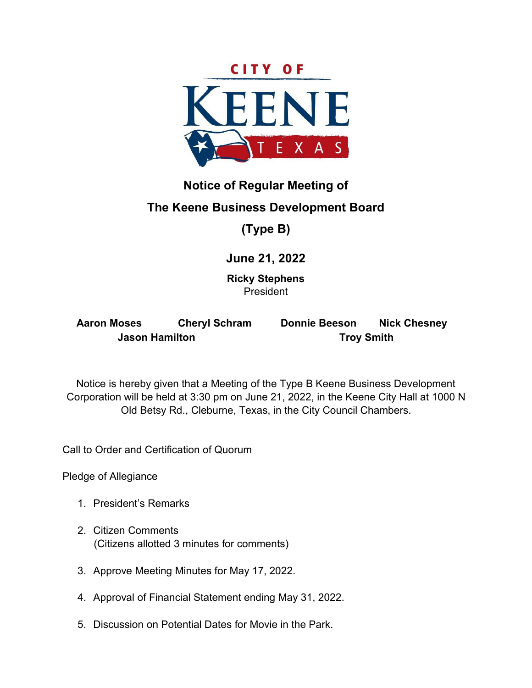

# **Notice of Regular Meeting of**

## **The Keene Business Development Board**

## **(Type B)**

## **June 21, 2022**

**Ricky Stephens**  President

| <b>Aaron Moses</b>    | <b>Cheryl Schram</b> | <b>Donnie Beeson</b> | <b>Nick Chesney</b> |  |  |
|-----------------------|----------------------|----------------------|---------------------|--|--|
| <b>Jason Hamilton</b> |                      | <b>Troy Smith</b>    |                     |  |  |

Notice is hereby given that a Meeting of the Type B Keene Business Development Corporation will be held at 3:30 pm on June 21, 2022, in the Keene City Hall at 1000 N Old Betsy Rd., Cleburne, Texas, in the City Council Chambers.

Call to Order and Certification of Quorum

Pledge of Allegiance

- 1. President's Remarks
- 2. Citizen Comments (Citizens allotted 3 minutes for comments)
- 3. Approve Meeting Minutes for May 17, 2022.
- 4. Approval of Financial Statement ending May 31, 2022.
- 5. Discussion on Potential Dates for Movie in the Park.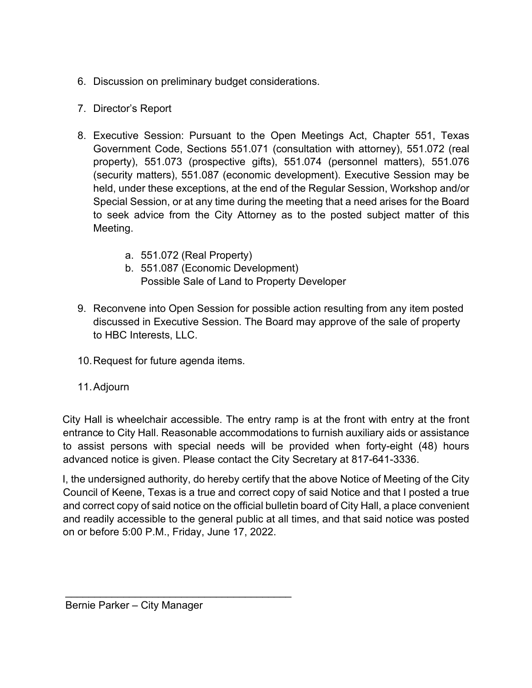- 6. Discussion on preliminary budget considerations.
- 7. Director's Report
- 8. Executive Session: Pursuant to the Open Meetings Act, Chapter 551, Texas Government Code, Sections 551.071 (consultation with attorney), 551.072 (real property), 551.073 (prospective gifts), 551.074 (personnel matters), 551.076 (security matters), 551.087 (economic development). Executive Session may be held, under these exceptions, at the end of the Regular Session, Workshop and/or Special Session, or at any time during the meeting that a need arises for the Board to seek advice from the City Attorney as to the posted subject matter of this Meeting.
	- a. 551.072 (Real Property)
	- b. 551.087 (Economic Development) Possible Sale of Land to Property Developer
- 9. Reconvene into Open Session for possible action resulting from any item posted discussed in Executive Session. The Board may approve of the sale of property to HBC Interests, LLC.
- 10.Request for future agenda items.
- 11.Adjourn

City Hall is wheelchair accessible. The entry ramp is at the front with entry at the front entrance to City Hall. Reasonable accommodations to furnish auxiliary aids or assistance to assist persons with special needs will be provided when forty-eight (48) hours advanced notice is given. Please contact the City Secretary at 817-641-3336.

I, the undersigned authority, do hereby certify that the above Notice of Meeting of the City Council of Keene, Texas is a true and correct copy of said Notice and that I posted a true and correct copy of said notice on the official bulletin board of City Hall, a place convenient and readily accessible to the general public at all times, and that said notice was posted on or before 5:00 P.M., Friday, June 17, 2022.

\_\_\_\_\_\_\_\_\_\_\_\_\_\_\_\_\_\_\_\_\_\_\_\_\_\_\_\_\_\_\_\_\_\_\_\_\_\_\_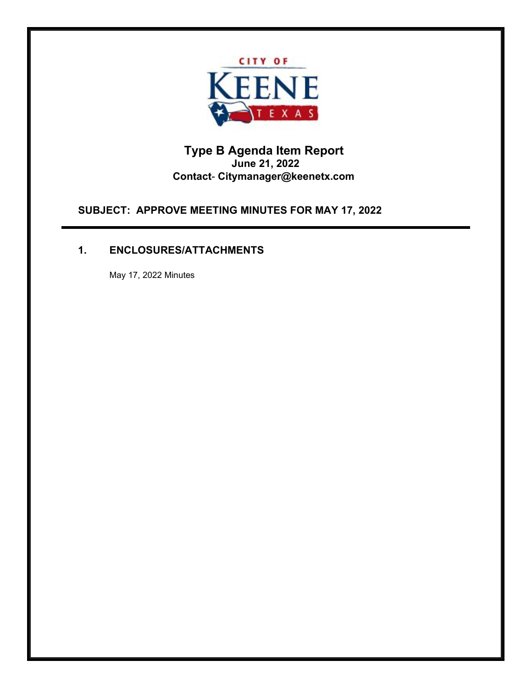

## **Type B Agenda Item Report June 21, 2022 Contact**- **[Citymanager@keenetx.com](mailto:Citymanager@keenetx.com)**

**SUBJECT: APPROVE MEETING MINUTES FOR MAY 17, 2022** 

## **1. ENCLOSURES/ATTACHMENTS**

May 17, 2022 Minutes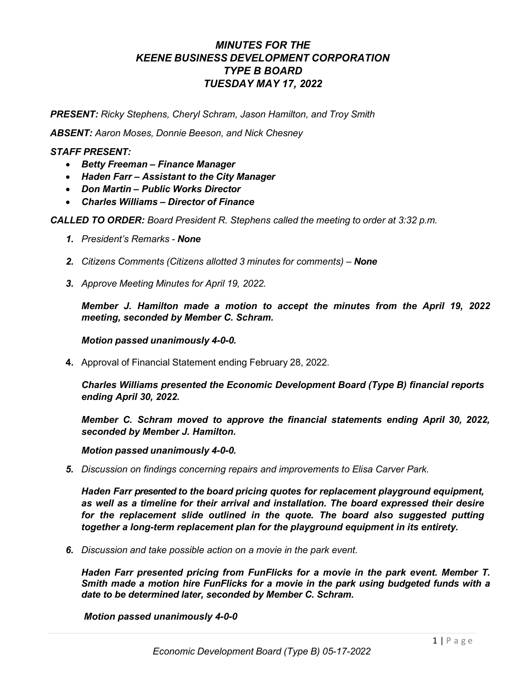## *MINUTES FOR THE KEENE BUSINESS DEVELOPMENT CORPORATION TYPE B BOARD TUESDAY MAY 17, 2022*

*PRESENT: Ricky Stephens, Cheryl Schram, Jason Hamilton, and Troy Smith*

*ABSENT: Aaron Moses, Donnie Beeson, and Nick Chesney*

#### *STAFF PRESENT:*

- *Betty Freeman – Finance Manager*
- *Haden Farr – Assistant to the City Manager*
- *Don Martin – Public Works Director*
- *Charles Williams – Director of Finance*

*CALLED TO ORDER: Board President R. Stephens called the meeting to order at 3:32 p.m.*

- *1. President's Remarks - None*
- *2. Citizens Comments (Citizens allotted 3 minutes for comments) – None*
- *3. Approve Meeting Minutes for April 19, 2022.*

*Member J. Hamilton made a motion to accept the minutes from the April 19, 2022 meeting, seconded by Member C. Schram.*

*Motion passed unanimously 4-0-0.*

**4.** Approval of Financial Statement ending February 28, 2022.

*Charles Williams presented the Economic Development Board (Type B) financial reports ending April 30, 2022.*

*Member C. Schram moved to approve the financial statements ending April 30, 2022, seconded by Member J. Hamilton.*

*Motion passed unanimously 4-0-0.*

*5. Discussion on findings concerning repairs and improvements to Elisa Carver Park.*

*Haden Farr presented to the board pricing quotes for replacement playground equipment, as well as a timeline for their arrival and installation. The board expressed their desire*  for the replacement slide outlined in the quote. The board also suggested putting *together a long-term replacement plan for the playground equipment in its entirety.* 

*6. Discussion and take possible action on a movie in the park event.*

*Haden Farr presented pricing from FunFlicks for a movie in the park event. Member T. Smith made a motion hire FunFlicks for a movie in the park using budgeted funds with a date to be determined later, seconded by Member C. Schram.* 

*Motion passed unanimously 4-0-0*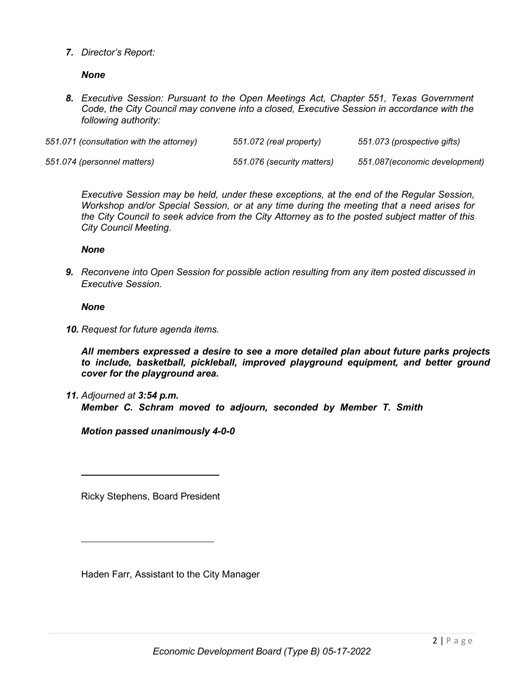*7. Director's Report:*

#### *None*

*8. Executive Session: Pursuant to the Open Meetings Act, Chapter 551, Texas Government Code, the City Council may convene into a closed, Executive Session in accordance with the following authority:*

| 551.071 (consultation with the attorney) | 551.072 (real property)    | 551.073 (prospective gifts)   |
|------------------------------------------|----------------------------|-------------------------------|
| 551.074 (personnel matters)              | 551.076 (security matters) | 551.087(economic development) |

*Executive Session may be held, under these exceptions, at the end of the Regular Session, Workshop and/or Special Session, or at any time during the meeting that a need arises for the City Council to seek advice from the City Attorney as to the posted subject matter of this City Council Meeting.*

#### *None*

*9. Reconvene into Open Session for possible action resulting from any item posted discussed in Executive Session.*

#### *None*

*10. Request for future agenda items.*

*All members expressed a desire to see a more detailed plan about future parks projects to include, basketball, pickleball, improved playground equipment, and better ground cover for the playground area.* 

*11. Adjourned at 3:54 p.m. Member C. Schram moved to adjourn, seconded by Member T. Smith* 

*Motion passed unanimously 4-0-0*

Ricky Stephens, Board President

Haden Farr, Assistant to the City Manager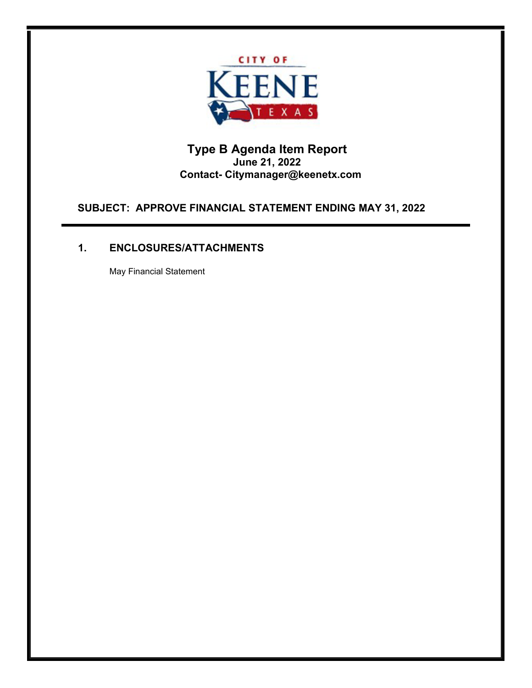

## **Type B Agenda Item Report June 21, 2022 Contact- Citymanager@keenetx.com**

**SUBJECT: APPROVE FINANCIAL STATEMENT ENDING MAY 31, 2022** 

## **1. ENCLOSURES/ATTACHMENTS**

May Financial Statement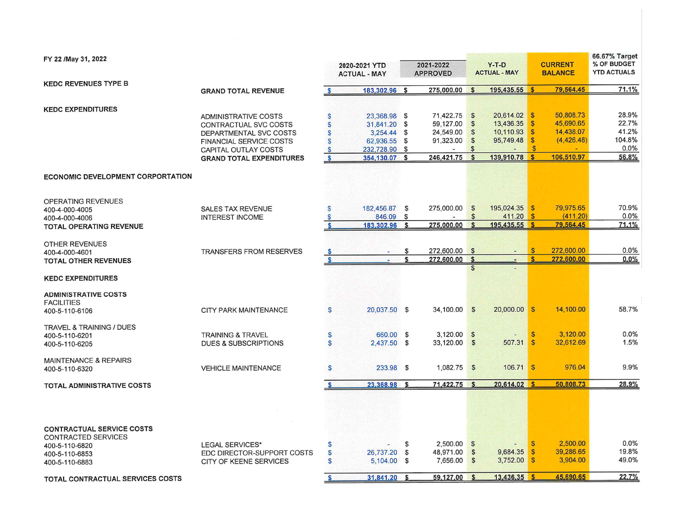| FY 22 /May 31, 2022                                                                      |                                                                                                                                                                             |                                                                       | 2020-2021 YTD<br><b>ACTUAL - MAY</b>                                                          |          | 2021-2022<br><b>APPROVED</b>                                      |                                                                                  | $Y-T-D$<br><b>ACTUAL - MAY</b>                                 |                                                                                     | <b>CURRENT</b><br><b>BALANCE</b>                                | 66.67% Target<br>% OF BUDGET<br><b>YTD ACTUALS</b> |
|------------------------------------------------------------------------------------------|-----------------------------------------------------------------------------------------------------------------------------------------------------------------------------|-----------------------------------------------------------------------|-----------------------------------------------------------------------------------------------|----------|-------------------------------------------------------------------|----------------------------------------------------------------------------------|----------------------------------------------------------------|-------------------------------------------------------------------------------------|-----------------------------------------------------------------|----------------------------------------------------|
| <b>KEDC REVENUES TYPE B</b>                                                              |                                                                                                                                                                             |                                                                       |                                                                                               |          |                                                                   |                                                                                  |                                                                |                                                                                     |                                                                 |                                                    |
|                                                                                          | <b>GRAND TOTAL REVENUE</b>                                                                                                                                                  | $\mathbf{s}$                                                          | 183,302.96 \$                                                                                 |          | 275,000.00                                                        | $\mathbf{s}$                                                                     | 195,435.55 \$                                                  |                                                                                     | 79,564.45                                                       | 71.1%                                              |
| <b>KEDC EXPENDITURES</b>                                                                 | <b>ADMINISTRATIVE COSTS</b><br>CONTRACTUAL SVC COSTS<br>DEPARTMENTAL SVC COSTS<br><b>FINANCIAL SERVICE COSTS</b><br>CAPITAL OUTLAY COSTS<br><b>GRAND TOTAL EXPENDITURES</b> | S<br>$\mathbb S$<br>$\mathsf{s}$<br>S<br>$\mathbf{s}$<br>$\mathbf{s}$ | 23,368.98 \$<br>31,841.20 \$<br>3,254.44 \$<br>62,936.55 \$<br>232,728.90 \$<br>354,130.07 \$ |          | 71,422.75 \$<br>59,127.00<br>24,549.00<br>91,323.00<br>246,421.75 | $\mathfrak{s}$<br>$\mathbf{s}$<br>$\mathfrak{s}$<br>$\mathbb{S}$<br>$\mathbf{s}$ | 20,614.02<br>13,436.35<br>10,110.93<br>95,749.48<br>139,910.78 | l S<br>$\mathbb{S}$<br>$\mathbf{s}$<br>$\mathbf{s}$<br>$\mathbf{s}$<br>$\mathbf{s}$ | 50,808.73<br>45,690.65<br>14,438.07<br>(4,426.48)<br>106.510.97 | 28.9%<br>22.7%<br>41.2%<br>104.8%<br>0.0%<br>56.8% |
| <b>ECONOMIC DEVELOPMENT CORPORTATION</b>                                                 |                                                                                                                                                                             |                                                                       |                                                                                               |          |                                                                   |                                                                                  |                                                                |                                                                                     |                                                                 |                                                    |
| OPERATING REVENUES<br>400-4-000-4005<br>400-4-000-4006<br><b>TOTAL OPERATING REVENUE</b> | <b>SALES TAX REVENUE</b><br><b>INTEREST INCOME</b>                                                                                                                          | S<br>$\mathsf{S}$<br><b>S</b>                                         | 182,456.87 \$<br>846.09<br>183,302.96                                                         | \$<br>\$ | 275,000.00<br>275,000.00                                          | $\sqrt[6]{3}$<br>$\mathbb{S}$<br>$\mathbf{\hat{z}}$                              | 195,024.35<br>411.20<br>195.435.55 \$                          | <b>S</b><br>$\mathbf{s}$                                                            | 79,975.65<br>(411.20)<br>79,564.45                              | 70.9%<br>0.0%<br>71.1%                             |
| OTHER REVENUES<br>400-4-000-4601<br><b>TOTAL OTHER REVENUES</b>                          | <b>TRANSFERS FROM RESERVES</b>                                                                                                                                              | $\mathbf{s}$<br>$\mathbf{s}$                                          |                                                                                               | \$<br>\$ | 272,600.00 \$<br>272,600.00                                       | \$                                                                               | ÷                                                              | $\mathbf{s}$<br>$\mathbf{\hat{f}}$                                                  | 272,600.00<br>272,600.00                                        | 0.0%<br>0.0%                                       |
| <b>KEDC EXPENDITURES</b>                                                                 |                                                                                                                                                                             |                                                                       |                                                                                               |          |                                                                   |                                                                                  |                                                                |                                                                                     |                                                                 |                                                    |
| <b>ADMINISTRATIVE COSTS</b><br><b>FACILITIES</b><br>400-5-110-6106                       | <b>CITY PARK MAINTENANCE</b>                                                                                                                                                | <b>S</b>                                                              | 20,037.50 \$                                                                                  |          | 34,100.00 \$                                                      |                                                                                  | 20,000.00 \$                                                   |                                                                                     | 14,100.00                                                       | 58.7%                                              |
| <b>TRAVEL &amp; TRAINING / DUES</b><br>400-5-110-6201<br>400-5-110-6205                  | <b>TRAINING &amp; TRAVEL</b><br><b>DUES &amp; SUBSCRIPTIONS</b>                                                                                                             | S<br>S                                                                | 660.00 \$<br>2,437.50 \$                                                                      |          | $3,120.00$ \$<br>33,120.00 \$                                     |                                                                                  | $\overline{a}$<br>507.31                                       | $\mathbf{s}$<br>$\sqrt{s}$                                                          | 3.120.00<br>32,612.69                                           | 0.0%<br>1.5%                                       |
| <b>MAINTENANCE &amp; REPAIRS</b><br>400-5-110-6320                                       | <b>VEHICLE MAINTENANCE</b>                                                                                                                                                  | S                                                                     | 233.98 \$                                                                                     |          | $1,082.75$ \$                                                     |                                                                                  | 106.71 \$                                                      |                                                                                     | 976.04                                                          | 9.9%                                               |
| <b>TOTAL ADMINISTRATIVE COSTS</b>                                                        |                                                                                                                                                                             | S                                                                     | 23,368.98                                                                                     | - \$     | 71,422.75                                                         | $\mathbf{s}$                                                                     | 20,614.02 \$                                                   |                                                                                     | 50,808.73                                                       | 28.9%                                              |
| <b>CONTRACTUAL SERVICE COSTS</b><br>CONTRACTED SERVICES                                  |                                                                                                                                                                             |                                                                       |                                                                                               |          |                                                                   |                                                                                  |                                                                |                                                                                     |                                                                 |                                                    |
| 400-5-110-6820<br>400-5-110-6853<br>400-5-110-6883                                       | <b>LEGAL SERVICES*</b><br>EDC DIRECTOR-SUPPORT COSTS<br>CITY OF KEENE SERVICES                                                                                              | S<br>$\mathsf{s}$<br>$\mathsf{s}$                                     | 26,737.20 \$<br>5,104.00 \$                                                                   | \$       | $2,500.00$ \$<br>48,971.00<br>7,656.00                            | $\mathbb{S}$<br>$\mathbb{S}$                                                     | 9,684.35<br>3,752.00                                           | <b>S</b><br>$\mathbf{s}$<br>$\sqrt{s}$                                              | 2,500.00<br>39,286.65<br>3,904.00                               | 0.0%<br>19.8%<br>49.0%                             |
| TOTAL CONTRACTUAL SERVICES COSTS                                                         |                                                                                                                                                                             | S                                                                     | 31.841.20 \$                                                                                  |          | 59,127.00                                                         | $\mathbf{s}$                                                                     | 13.436.35 \$                                                   |                                                                                     | 45,690.65                                                       | 22.7%                                              |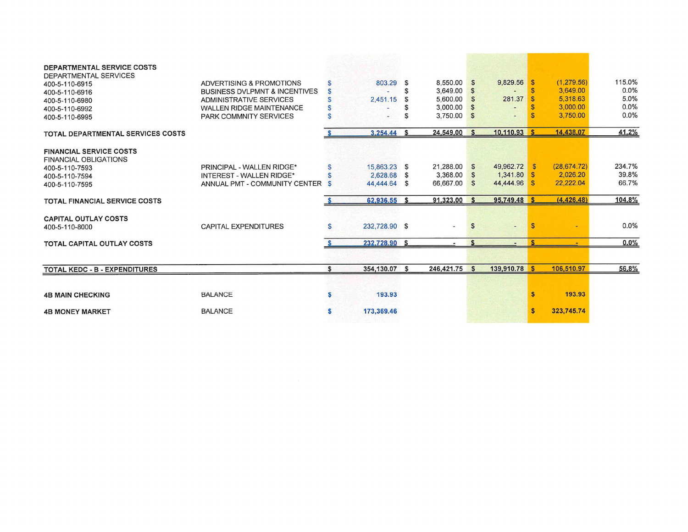| DEPARTMENTAL SERVICE COSTS<br>DEPARTMENTAL SERVICES<br>400-5-110-6915 | ADVERTISING & PROMOTIONS                 | S  | 803.29        | - \$ | 8,550.00 \$   |              | 9,829.56       | ∣ \$ | (1, 279.56)  | 115.0% |
|-----------------------------------------------------------------------|------------------------------------------|----|---------------|------|---------------|--------------|----------------|------|--------------|--------|
| 400-5-110-6916                                                        | <b>BUSINESS DVLPMNT &amp; INCENTIVES</b> | S  |               | \$.  | 3,649.00      | $\mathbf{s}$ |                |      | 3.649.00     | 0.0%   |
| 400-5-110-6980                                                        | ADMINISTRATIVE SERVICES                  |    | 2.451.15      | £.   | 5,600.00      | $\mathbf{s}$ | 281.37         |      | 5,318.63     | 5.0%   |
| 400-5-110-6992                                                        | <b>WALLEN RIDGE MAINTENANCE</b>          | S  |               | £.   | 3.000.00      | $\mathbf{s}$ |                |      | 3,000.00     | 0.0%   |
| 400-5-110-6995                                                        | <b>PARK COMMNITY SERVICES</b>            | S  |               | S    | 3,750.00      | $\mathbf{s}$ |                |      | 3,750.00     | 0.0%   |
| <b>TOTAL DEPARTMENTAL SERVICES COSTS</b>                              |                                          |    | 3,254.44      | - \$ | 24,549.00 \$  |              | $10,110.93$ \$ |      | 14,438.07    | 41.2%  |
| <b>FINANCIAL SERVICE COSTS</b><br><b>FINANCIAL OBLIGATIONS</b>        |                                          |    |               |      |               |              |                |      |              |        |
| 400-5-110-7593                                                        | PRINCIPAL - WALLEN RIDGE*                | S  | 15.863.23 \$  |      | 21,288.00 \$  |              | 49,962.72 \$   |      | (28, 674.72) | 234.7% |
| 400-5-110-7594                                                        | INTEREST - WALLEN RIDGE*                 | S  | 2.628.68 \$   |      | 3,368.00      | $\mathbf{s}$ | $1,341.80$ \$  |      | 2,026.20     | 39.8%  |
| 400-5-110-7595                                                        | ANNUAL PMT - COMMUNITY CENTER \$         |    | 44.444.64 \$  |      | 66,667.00 \$  |              | 44,444.96 \$   |      | 22,222.04    | 66.7%  |
| <b>TOTAL FINANCIAL SERVICE COSTS</b>                                  |                                          |    | 62,936.55 \$  |      | 91,323.00 \$  |              | 95.749.48 \$   |      | (4, 426, 48) | 104.8% |
| <b>CAPITAL OUTLAY COSTS</b><br>400-5-110-8000                         | CAPITAL EXPENDITURES                     | S  | 232,728.90 \$ |      | S)            | <b>S</b>     | $-$            | -S   |              | 0.0%   |
| TOTAL CAPITAL OUTLAY COSTS                                            |                                          |    | 232.728.90 \$ |      |               |              |                |      |              | 0.0%   |
|                                                                       |                                          |    |               |      |               |              |                |      |              |        |
| TOTAL KEDC - B - EXPENDITURES                                         |                                          | \$ | 354.130.07 \$ |      | 246.421.75 \$ |              | 139,910.78 \$  |      | 106,510.97   | 56.8%  |
|                                                                       |                                          |    |               |      |               |              |                |      |              |        |
| <b>4B MAIN CHECKING</b>                                               | <b>BALANCE</b>                           | \$ | 193.93        |      |               |              |                |      | 193.93       |        |
| <b>4B MONEY MARKET</b>                                                | <b>BALANCE</b>                           | s  | 173,369.46    |      |               |              |                |      | 323,745.74   |        |
|                                                                       |                                          |    |               |      |               |              |                |      |              |        |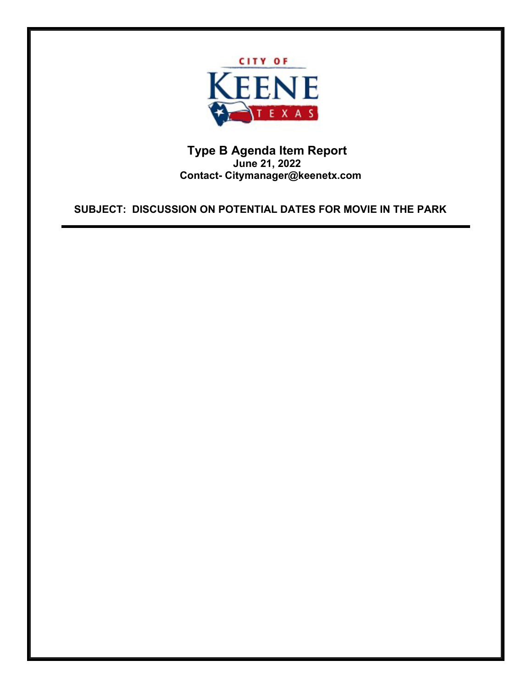

**Type B Agenda Item Report June 21, 2022 Contact- Citymanager@keenetx.com**

**SUBJECT: DISCUSSION ON POTENTIAL DATES FOR MOVIE IN THE PARK**